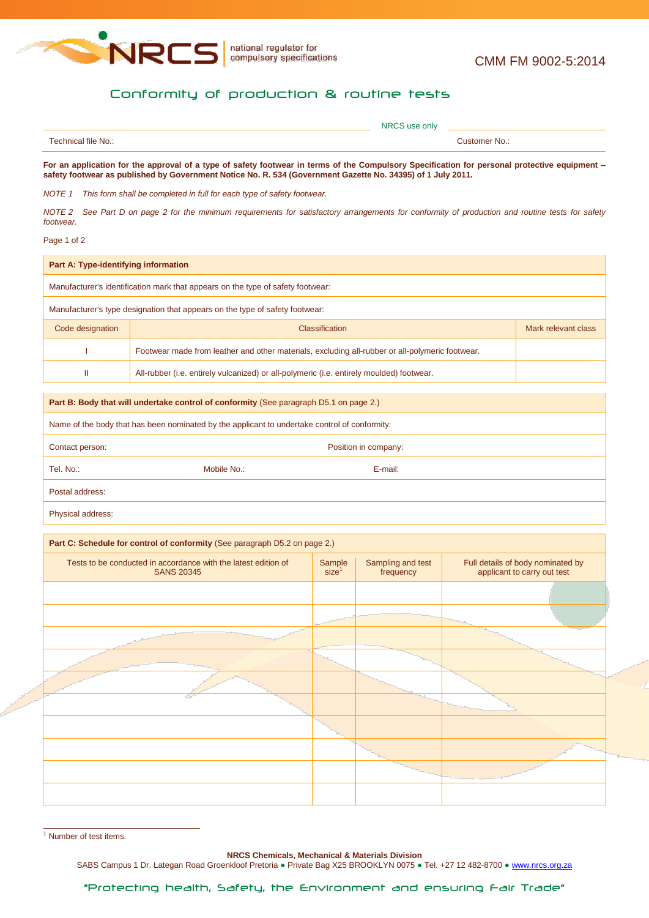

## Conformity of production & routine tests

|                     | NRCS use only                                                                                                                               |
|---------------------|---------------------------------------------------------------------------------------------------------------------------------------------|
| Technical file No.: | Customer No.:                                                                                                                               |
|                     | For an application for the approval of a type of cafety footware in terms of the Compulsory Procification for nersonal protective equipment |

**For an application for the approval of a type of safety footwear in terms of the Compulsory Specification for personal protective equipment – safety footwear as published by Government Notice No. R. 534 (Government Gazette No. 34395) of 1 July 2011.**

*NOTE 1 This form shall be completed in full for each type of safety footwear.*

*NOTE 2 See Part D on page 2 for the minimum requirements for satisfactory arrangements for conformity of production and routine tests for safety footwear.*

## Page 1 of 2

| Part A: Type-identifying information                                            |                                                                                                 |                     |  |  |
|---------------------------------------------------------------------------------|-------------------------------------------------------------------------------------------------|---------------------|--|--|
| Manufacturer's identification mark that appears on the type of safety footwear: |                                                                                                 |                     |  |  |
| Manufacturer's type designation that appears on the type of safety footwear:    |                                                                                                 |                     |  |  |
| Code designation                                                                | <b>Classification</b>                                                                           | Mark relevant class |  |  |
|                                                                                 | Footwear made from leather and other materials, excluding all-rubber or all-polymeric footwear. |                     |  |  |
| Ш                                                                               | All-rubber (i.e. entirely vulcanized) or all-polymeric (i.e. entirely moulded) footwear.        |                     |  |  |

## **Part B: Body that will undertake control of conformity** (See paragraph D5.1 on page 2.)

Name of the body that has been nominated by the applicant to undertake control of conformity:

| Contact person: |             | Position in company: |  |
|-----------------|-------------|----------------------|--|
| Tel. No.:       | Mobile No.: | E-mail:              |  |
| Postal address: |             |                      |  |
|                 |             |                      |  |

Physical address:

## **Part C: Schedule for control of conformity** (See paragraph D5.2 on page 2.)

| Tests to be conducted in accordance with the latest edition of<br><b>SANS 20345</b> | $Sample$ size <sup>1</sup> | Sampling and test<br>frequency | Full details of body nominated by<br>applicant to carry out test |
|-------------------------------------------------------------------------------------|----------------------------|--------------------------------|------------------------------------------------------------------|
|                                                                                     |                            |                                |                                                                  |
|                                                                                     |                            |                                |                                                                  |
|                                                                                     |                            |                                |                                                                  |
|                                                                                     |                            |                                |                                                                  |
|                                                                                     |                            |                                |                                                                  |
|                                                                                     |                            |                                |                                                                  |
|                                                                                     |                            |                                |                                                                  |
|                                                                                     |                            |                                |                                                                  |
|                                                                                     |                            |                                |                                                                  |
|                                                                                     |                            |                                |                                                                  |

 $\frac{1}{1}$  Number of test items.

**NRCS Chemicals, Mechanical & Materials Division**

SABS Campus 1 Dr. Lategan Road Groenkloof Pretoria . Private Bag X25 BROOKLYN 0075 . Tel. +27 12 482-8700 . www.nrcs.org.za